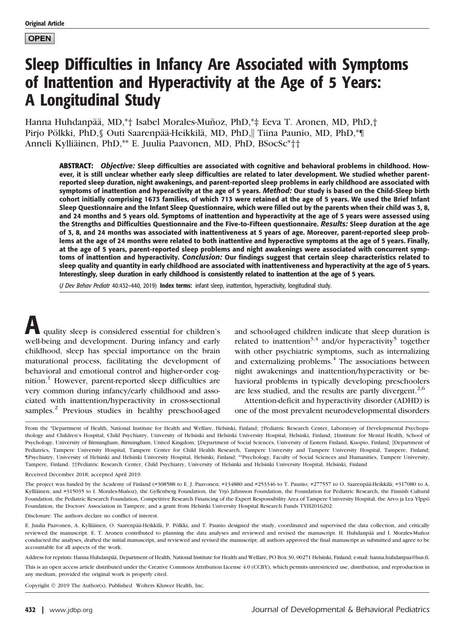**OPEN** 

# Sleep Difficulties in Infancy Are Associated with Symptoms of Inattention and Hyperactivity at the Age of 5 Years: A Longitudinal Study

Hanna Huhdanpää, MD,\*† Isabel Morales-Muñoz, PhD,\*‡ Eeva T. Aronen, MD, PhD,† Pirjo Pölkki, PhD, § Outi Saarenpää-Heikkilä, MD, PhD, Tiina Paunio, MD, PhD, \*¶ Anneli Kylliäinen, PhD,\*\* E. Juulia Paavonen, MD, PhD, BSocSc\*††

ABSTRACT: Objective: Sleep difficulties are associated with cognitive and behavioral problems in childhood. However, it is still unclear whether early sleep difficulties are related to later development. We studied whether parentreported sleep duration, night awakenings, and parent-reported sleep problems in early childhood are associated with symptoms of inattention and hyperactivity at the age of 5 years. Method: Our study is based on the Child-Sleep birth cohort initially comprising 1673 families, of which 713 were retained at the age of 5 years. We used the Brief Infant Sleep Questionnaire and the Infant Sleep Questionnaire, which were filled out by the parents when their child was 3, 8, and 24 months and 5 years old. Symptoms of inattention and hyperactivity at the age of 5 years were assessed using the Strengths and Difficulties Questionnaire and the Five-to-Fifteen questionnaire. Results: Sleep duration at the age of 3, 8, and 24 months was associated with inattentiveness at 5 years of age. Moreover, parent-reported sleep problems at the age of 24 months were related to both inattentive and hyperactive symptoms at the age of 5 years. Finally, at the age of 5 years, parent-reported sleep problems and night awakenings were associated with concurrent symptoms of inattention and hyperactivity. Conclusion: Our findings suggest that certain sleep characteristics related to sleep quality and quantity in early childhood are associated with inattentiveness and hyperactivity at the age of 5 years. Interestingly, sleep duration in early childhood is consistently related to inattention at the age of 5 years.

(J Dev Behav Pediatr 40:432–440, 2019) Index terms: infant sleep, inattention, hyperactivity, longitudinal study.

quality sleep is considered essential for children's well-being and development. During infancy and early childhood, sleep has special importance on the brain maturational process, facilitating the development of behavioral and emotional control and higher-order cognition.<sup>1</sup> However, parent-reported sleep difficulties are very common during infancy/early childhood and associated with inattention/hyperactivity in cross-sectional samples.<sup>2</sup> Previous studies in healthy preschool-aged

and school-aged children indicate that sleep duration is related to inattention<sup>3,4</sup> and/or hyperactivity<sup>5</sup> together with other psychiatric symptoms, such as internalizing and externalizing problems. $4$  The associations between night awakenings and inattention/hyperactivity or behavioral problems in typically developing preschoolers are less studied, and the results are partly divergent.<sup>2,6</sup>

Attention-deficit and hyperactivity disorder (ADHD) is one of the most prevalent neurodevelopmental disorders

Received December 2018; accepted April 2019.

The project was funded by the Academy of Finland (#308588 to E. J. Paavonen; #134880 and #253346 to T. Paunio; #277557 to O. Saarenpää-Heikkilä; #317080 to A. Kylliäinen; and #315035 to I. Morales-Muñoz), the Gyllenberg Foundation, the Yrjö Jahnsson Foundation, the Foundation for Pediatric Research, the Finnish Cultural Foundation, the Pediatric Research Foundation, Competitive Research Financing of the Expert Responsibility Area of Tampere University Hospital, the Arvo ja Lea Ylppö Foundation, the Doctors' Association in Tampere, and a grant from Helsinki University Hospital Research Funds TYH2016202.

Disclosure: The authors declare no conflict of interest.

E. Juulia Paavonen, A. Kylliäinen, O. Saarenpää-Heikkilä, P. Pölkki, and T. Paunio designed the study, coordinated and supervised the data collection, and critically reviewed the manuscript. E. T. Aronen contributed to planning the data analyses and reviewed and revised the manuscript. H. Huhdanpää and I. Morales-Muñoz conducted the analyses, drafted the initial manuscript, and reviewed and revised the manuscript; all authors approved the final manuscript as submitted and agree to be accountable for all aspects of the work.

Address for reprints: Hanna Huhdanpää, Department of Health, National Institute for Health and Welfare, PO Box 30, 00271 Helsinki, Finland; e-mail: [hanna.huhdanpaa@hus.fi](mailto:hanna.huhdanpaa@hus.fi).

This is an open access article distributed under the [Creative Commons Attribution License 4.0 \(CCBY\)](http://creativecommons.org/licenses/by/4.0/), which permits unrestricted use, distribution, and reproduction in any medium, provided the original work is properly cited.

Copyright © 2019 The Author(s). Published Wolters Kluwer Health, Inc.

From the \*Department of Health, National Institute for Health and Welfare, Helsinki, Finland; †Pediatric Research Center, Laboratory of Developmental Psychopathology and Children's Hospital, Child Psychiatry, University of Helsinki and Helsinki University Hospital, Helsinki, Finland; ‡Institute for Mental Health, School of Psychology, University of Birmingham, Birmingham, United Kingdom; §Department of Social Sciences, University of Eastern Finland, Kuopio, Finland; ||Department of Pediatrics, Tampere University Hospital, Tampere Center for Child Health Research, Tampere University and Tampere University Hospital, Tampere, Finland; ¶Psychiatry, University of Helsinki and Helsinki University Hospital, Helsinki, Finland; \*\*Psychology, Faculty of Social Sciences and Humanities, Tampere University, Tampere, Finland. ††Pediatric Research Center, Child Psychiatry, University of Helsinki and Helsinki University Hospital, Helsinki, Finland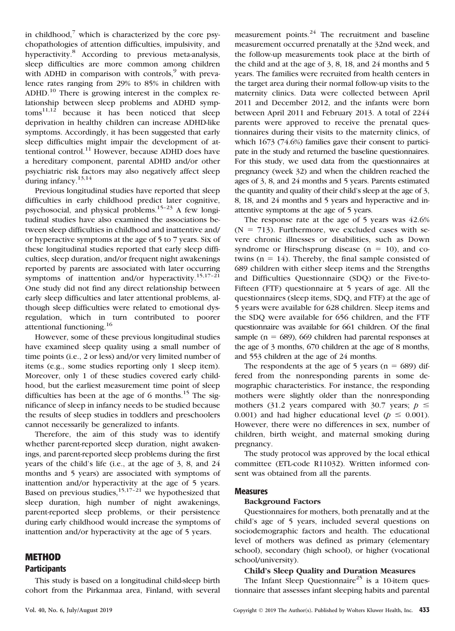in childhood, $\bar{y}$  which is characterized by the core psychopathologies of attention difficulties, impulsivity, and hyperactivity.<sup>8</sup> According to previous meta-analysis, sleep difficulties are more common among children with ADHD in comparison with controls, $9$  with prevalence rates ranging from 29% to 85% in children with ADHD.<sup>10</sup> There is growing interest in the complex relationship between sleep problems and ADHD symp $toms<sup>11,12</sup>$  because it has been noticed that sleep deprivation in healthy children can increase ADHD-like symptoms. Accordingly, it has been suggested that early sleep difficulties might impair the development of attentional control.<sup>11</sup> However, because ADHD does have a hereditary component, parental ADHD and/or other psychiatric risk factors may also negatively affect sleep during infancy.<sup>13,14</sup>

Previous longitudinal studies have reported that sleep difficulties in early childhood predict later cognitive, psychosocial, and physical problems.15–<sup>23</sup> A few longitudinal studies have also examined the associations between sleep difficulties in childhood and inattentive and/ or hyperactive symptoms at the age of 5 to 7 years. Six of these longitudinal studies reported that early sleep difficulties, sleep duration, and/or frequent night awakenings reported by parents are associated with later occurring symptoms of inattention and/or hyperactivity.<sup>15,17-21</sup> One study did not find any direct relationship between early sleep difficulties and later attentional problems, although sleep difficulties were related to emotional dysregulation, which in turn contributed to poorer attentional functioning.<sup>16</sup>

However, some of these previous longitudinal studies have examined sleep quality using a small number of time points (i.e., 2 or less) and/or very limited number of items (e.g., some studies reporting only 1 sleep item). Moreover, only 1 of these studies covered early childhood, but the earliest measurement time point of sleep difficulties has been at the age of 6 months.<sup>15</sup> The significance of sleep in infancy needs to be studied because the results of sleep studies in toddlers and preschoolers cannot necessarily be generalized to infants.

Therefore, the aim of this study was to identify whether parent-reported sleep duration, night awakenings, and parent-reported sleep problems during the first years of the child's life (i.e., at the age of 3, 8, and 24 months and 5 years) are associated with symptoms of inattention and/or hyperactivity at the age of 5 years. Based on previous studies,  $\frac{15,17-21}{15}$  we hypothesized that sleep duration, high number of night awakenings, parent-reported sleep problems, or their persistence during early childhood would increase the symptoms of inattention and/or hyperactivity at the age of 5 years.

## METHOD

#### **Participants**

This study is based on a longitudinal child-sleep birth cohort from the Pirkanmaa area, Finland, with several measurement points. $^{24}$  The recruitment and baseline measurement occurred prenatally at the 32nd week, and the follow-up measurements took place at the birth of the child and at the age of 3, 8, 18, and 24 months and 5 years. The families were recruited from health centers in the target area during their normal follow-up visits to the maternity clinics. Data were collected between April 2011 and December 2012, and the infants were born between April 2011 and February 2013. A total of 2244 parents were approved to receive the prenatal questionnaires during their visits to the maternity clinics, of which 1673 (74.6%) families gave their consent to participate in the study and returned the baseline questionnaires. For this study, we used data from the questionnaires at pregnancy (week 32) and when the children reached the ages of 3, 8, and 24 months and 5 years. Parents estimated the quantity and quality of their child's sleep at the age of 3, 8, 18, and 24 months and 5 years and hyperactive and inattentive symptoms at the age of 5 years.

The response rate at the age of 5 years was 42.6%  $(N = 713)$ . Furthermore, we excluded cases with severe chronic illnesses or disabilities, such as Down syndrome or Hirschsprung disease  $(n = 10)$ , and cotwins  $(n = 14)$ . Thereby, the final sample consisted of 689 children with either sleep items and the Strengths and Difficulties Questionnaire (SDQ) or the Five-to-Fifteen (FTF) questionnaire at 5 years of age. All the questionnaires (sleep items, SDQ, and FTF) at the age of 5 years were available for 628 children. Sleep items and the SDQ were available for 656 children, and the FTF questionnaire was available for 661 children. Of the final sample ( $n = 689$ ), 669 children had parental responses at the age of 3 months, 670 children at the age of 8 months, and 553 children at the age of 24 months.

The respondents at the age of 5 years ( $n = 689$ ) differed from the nonresponding parents in some demographic characteristics. For instance, the responding mothers were slightly older than the nonresponding mothers (31.2 years compared with 30.7 years;  $p \le$ 0.001) and had higher educational level ( $p \le 0.001$ ). However, there were no differences in sex, number of children, birth weight, and maternal smoking during pregnancy.

The study protocol was approved by the local ethical committee (ETL-code R11032). Written informed consent was obtained from all the parents.

#### Measures

#### Background Factors

Questionnaires for mothers, both prenatally and at the child's age of 5 years, included several questions on sociodemographic factors and health. The educational level of mothers was defined as primary (elementary school), secondary (high school), or higher (vocational school/university).

#### Child's Sleep Quality and Duration Measures

The Infant Sleep Questionnaire<sup>25</sup> is a 10-item questionnaire that assesses infant sleeping habits and parental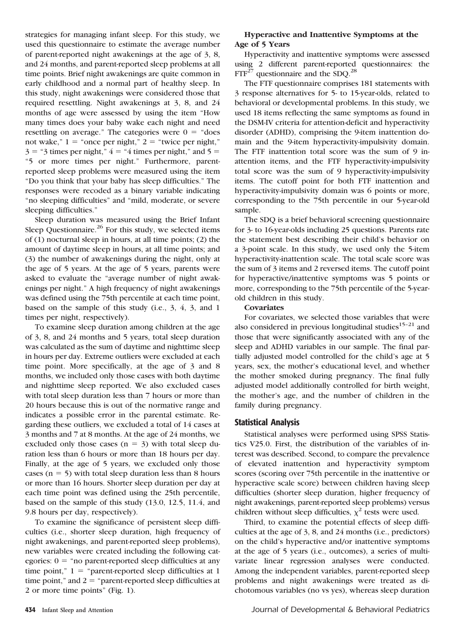strategies for managing infant sleep. For this study, we used this questionnaire to estimate the average number of parent-reported night awakenings at the age of 3, 8, and 24 months, and parent-reported sleep problems at all time points. Brief night awakenings are quite common in early childhood and a normal part of healthy sleep. In this study, night awakenings were considered those that required resettling. Night awakenings at 3, 8, and 24 months of age were assessed by using the item "How many times does your baby wake each night and need resettling on average." The categories were  $0 =$  "does" not wake,"  $1 =$  "once per night,"  $2 =$  "twice per night,"  $3 =$  "3 times per night,"  $4 =$  "4 times per night," and  $5 =$ "5 or more times per night." Furthermore, parentreported sleep problems were measured using the item "Do you think that your baby has sleep difficulties." The responses were recoded as a binary variable indicating "no sleeping difficulties" and "mild, moderate, or severe sleeping difficulties."

Sleep duration was measured using the Brief Infant Sleep Questionnaire. $26$  For this study, we selected items of (1) nocturnal sleep in hours, at all time points; (2) the amount of daytime sleep in hours, at all time points; and (3) the number of awakenings during the night, only at the age of 5 years. At the age of 5 years, parents were asked to evaluate the "average number of night awakenings per night." A high frequency of night awakenings was defined using the 75th percentile at each time point, based on the sample of this study (i.e., 3, 4, 3, and 1 times per night, respectively).

To examine sleep duration among children at the age of 3, 8, and 24 months and 5 years, total sleep duration was calculated as the sum of daytime and nighttime sleep in hours per day. Extreme outliers were excluded at each time point. More specifically, at the age of 3 and 8 months, we included only those cases with both daytime and nighttime sleep reported. We also excluded cases with total sleep duration less than 7 hours or more than 20 hours because this is out of the normative range and indicates a possible error in the parental estimate. Regarding these outliers, we excluded a total of 14 cases at 3 months and 7 at 8 months. At the age of 24 months, we excluded only those cases ( $n = 3$ ) with total sleep duration less than 6 hours or more than 18 hours per day. Finally, at the age of 5 years, we excluded only those cases ( $n = 5$ ) with total sleep duration less than 8 hours or more than 16 hours. Shorter sleep duration per day at each time point was defined using the 25th percentile, based on the sample of this study (13.0, 12.5, 11.4, and 9.8 hours per day, respectively).

To examine the significance of persistent sleep difficulties (i.e., shorter sleep duration, high frequency of night awakenings, and parent-reported sleep problems), new variables were created including the following categories:  $0 =$  "no parent-reported sleep difficulties at any time point,"  $1 =$  "parent-reported sleep difficulties at 1 time point," and  $2 =$  "parent-reported sleep difficulties at 2 or more time points" (Fig. 1).

### Hyperactive and Inattentive Symptoms at the Age of 5 Years

Hyperactivity and inattentive symptoms were assessed using 2 different parent-reported questionnaires: the  $FTF^{27}$  questionnaire and the SDQ.<sup>28</sup>

The FTF questionnaire comprises 181 statements with 3 response alternatives for 5- to 15-year-olds, related to behavioral or developmental problems. In this study, we used 18 items reflecting the same symptoms as found in the DSM-IV criteria for attention-deficit and hyperactivity disorder (ADHD), comprising the 9-item inattention domain and the 9-item hyperactivity-impulsivity domain. The FTF inattention total score was the sum of 9 inattention items, and the FTF hyperactivity-impulsivity total score was the sum of 9 hyperactivity-impulsivity items. The cutoff point for both FTF inattention and hyperactivity-impulsivity domain was 6 points or more, corresponding to the 75th percentile in our 5-year-old sample.

The SDQ is a brief behavioral screening questionnaire for 3- to 16-year-olds including 25 questions. Parents rate the statement best describing their child's behavior on a 3-point scale. In this study, we used only the 5-item hyperactivity-inattention scale. The total scale score was the sum of 3 items and 2 reversed items. The cutoff point for hyperactive/inattentive symptoms was 5 points or more, corresponding to the 75th percentile of the 5-yearold children in this study.

#### **Covariates**

For covariates, we selected those variables that were also considered in previous longitudinal studies $15-21$  and those that were significantly associated with any of the sleep and ADHD variables in our sample. The final partially adjusted model controlled for the child's age at 5 years, sex, the mother's educational level, and whether the mother smoked during pregnancy. The final fully adjusted model additionally controlled for birth weight, the mother's age, and the number of children in the family during pregnancy.

#### Statistical Analysis

Statistical analyses were performed using SPSS Statistics V25.0. First, the distribution of the variables of interest was described. Second, to compare the prevalence of elevated inattention and hyperactivity symptom scores (scoring over 75th percentile in the inattentive or hyperactive scale score) between children having sleep difficulties (shorter sleep duration, higher frequency of night awakenings, parent-reported sleep problems) versus children without sleep difficulties,  $\chi^2$  tests were used.

Third, to examine the potential effects of sleep difficulties at the age of 3, 8, and 24 months (i.e., predictors) on the child's hyperactive and/or inattentive symptoms at the age of 5 years (i.e., outcomes), a series of multivariate linear regression analyses were conducted. Among the independent variables, parent-reported sleep problems and night awakenings were treated as dichotomous variables (no vs yes), whereas sleep duration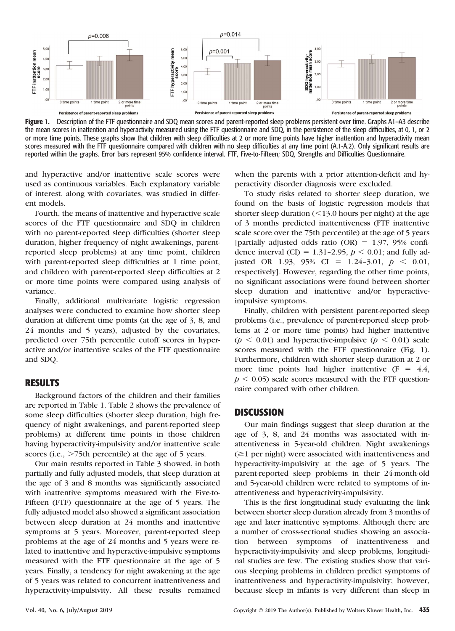

Figure 1. Description of the FTF questionnaire and SDQ mean scores and parent-reported sleep problems persistent over time. Graphs A1–A3 describe the mean scores in inattention and hyperactivity measured using the FTF questionnaire and SDQ, in the persistence of the sleep difficulties, at 0, 1, or 2 or more time points. These graphs show that children with sleep difficulties at 2 or more time points have higher inattention and hyperactivity mean scores measured with the FTF questionnaire compared with children with no sleep difficulties at any time point (A.1-A.2). Only significant results are reported within the graphs. Error bars represent 95% confidence interval. FTF, Five-to-Fifteen; SDQ, Strengths and Difficulties Questionnaire.

and hyperactive and/or inattentive scale scores were used as continuous variables. Each explanatory variable of interest, along with covariates, was studied in different models.

Fourth, the means of inattentive and hyperactive scale scores of the FTF questionnaire and SDQ in children with no parent-reported sleep difficulties (shorter sleep duration, higher frequency of night awakenings, parentreported sleep problems) at any time point, children with parent-reported sleep difficulties at 1 time point, and children with parent-reported sleep difficulties at 2 or more time points were compared using analysis of variance.

Finally, additional multivariate logistic regression analyses were conducted to examine how shorter sleep duration at different time points (at the age of 3, 8, and 24 months and 5 years), adjusted by the covariates, predicted over 75th percentile cutoff scores in hyperactive and/or inattentive scales of the FTF questionnaire and SDQ.

#### RESULTS

Background factors of the children and their families are reported in Table 1. Table 2 shows the prevalence of some sleep difficulties (shorter sleep duration, high frequency of night awakenings, and parent-reported sleep problems) at different time points in those children having hyperactivity-impulsivity and/or inattentive scale scores (i.e.,  $>75$ th percentile) at the age of 5 years.

Our main results reported in Table 3 showed, in both partially and fully adjusted models, that sleep duration at the age of 3 and 8 months was significantly associated with inattentive symptoms measured with the Five-to-Fifteen (FTF) questionnaire at the age of 5 years. The fully adjusted model also showed a significant association between sleep duration at 24 months and inattentive symptoms at 5 years. Moreover, parent-reported sleep problems at the age of 24 months and 5 years were related to inattentive and hyperactive-impulsive symptoms measured with the FTF questionnaire at the age of 5 years. Finally, a tendency for night awakening at the age of 5 years was related to concurrent inattentiveness and hyperactivity-impulsivity. All these results remained when the parents with a prior attention-deficit and hyperactivity disorder diagnosis were excluded.

To study risks related to shorter sleep duration, we found on the basis of logistic regression models that shorter sleep duration  $\left($  < 13.0 hours per night) at the age of 3 months predicted inattentiveness (FTF inattentive scale score over the 75th percentile) at the age of 5 years [partially adjusted odds ratio (OR) =  $1.97$ , 95% confidence interval (CI) = 1.31-2.95,  $p < 0.01$ ; and fully adjusted OR 1.93, 95% CI = 1.24-3.01,  $p < 0.01$ , respectively]. However, regarding the other time points, no significant associations were found between shorter sleep duration and inattentive and/or hyperactiveimpulsive symptoms.

Finally, children with persistent parent-reported sleep problems (i.e., prevalence of parent-reported sleep problems at 2 or more time points) had higher inattentive ( $p < 0.01$ ) and hyperactive-impulsive ( $p < 0.01$ ) scale scores measured with the FTF questionnaire (Fig. 1). Furthermore, children with shorter sleep duration at 2 or more time points had higher inattentive  $(F = 4.4,$  $p < 0.05$ ) scale scores measured with the FTF questionnaire compared with other children.

#### DISCUSSION

Our main findings suggest that sleep duration at the age of 3, 8, and 24 months was associated with inattentiveness in 5-year-old children. Night awakenings  $(\geq)$  per night) were associated with inattentiveness and hyperactivity-impulsivity at the age of 5 years. The parent-reported sleep problems in their 24-month-old and 5-year-old children were related to symptoms of inattentiveness and hyperactivity-impulsivity.

This is the first longitudinal study evaluating the link between shorter sleep duration already from 3 months of age and later inattentive symptoms. Although there are a number of cross-sectional studies showing an association between symptoms of inattentiveness and hyperactivity-impulsivity and sleep problems, longitudinal studies are few. The existing studies show that various sleeping problems in children predict symptoms of inattentiveness and hyperactivity-impulsivity; however, because sleep in infants is very different than sleep in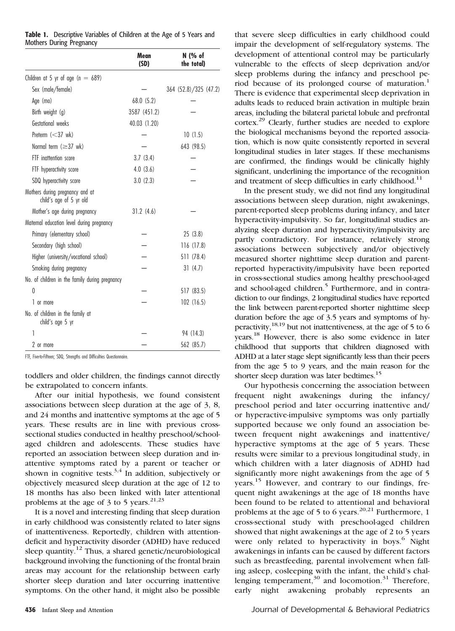|                                                            | Mean<br>(SD) | N (% of<br>the total) |
|------------------------------------------------------------|--------------|-----------------------|
| Children at 5 yr of age ( $n = 689$ )                      |              |                       |
| Sex (male/female)                                          |              | 364 (52.8)/325 (47.2) |
| Age (mo)                                                   | 68.0(5.2)    |                       |
| Birth weight (g)                                           | 3587 (451.2) |                       |
| Gestational weeks                                          | 40.03 (1.20) |                       |
| Preterm $(<37$ wk)                                         |              | 10(1.5)               |
| Normal term $(\geq 37$ wk)                                 |              | 643 (98.5)            |
| FTF inattention score                                      | 3.7(3.4)     |                       |
| FTF hyperactivity score                                    | 4.0(3.6)     |                       |
| SDQ hyperactivity score                                    | 3.0(2.3)     |                       |
| Mothers during pregnancy and at<br>child's age of 5 yr old |              |                       |
| Mother's age during pregnancy                              | 31.2(4.6)    |                       |
| Maternal education level during pregnancy                  |              |                       |
| Primary (elementary school)                                |              | 25(3.8)               |
| Secondary (high school)                                    |              | 116(17.8)             |
| Higher (university/vocational school)                      |              | 511 (78.4)            |
| Smoking during pregnancy                                   |              | 31(4.7)               |
| No. of children in the family during pregnancy             |              |                       |
| $\Omega$                                                   |              | 517 (83.5)            |
| 1 or more                                                  |              | 102(16.5)             |
| No. of children in the family at<br>child's age 5 yr       |              |                       |
| 1                                                          |              | 94 (14.3)             |
| 2 or more                                                  |              | 562 (85.7)            |

Table 1. Descriptive Variables of Children at the Age of 5 Years and Mothers During Pregnancy

toddlers and older children, the findings cannot directly be extrapolated to concern infants.

After our initial hypothesis, we found consistent associations between sleep duration at the age of 3, 8, and 24 months and inattentive symptoms at the age of 5 years. These results are in line with previous crosssectional studies conducted in healthy preschool/schoolaged children and adolescents. These studies have reported an association between sleep duration and inattentive symptoms rated by a parent or teacher or shown in cognitive tests.<sup>3,4</sup> In addition, subjectively or objectively measured sleep duration at the age of 12 to 18 months has also been linked with later attentional problems at the age of 3 to 5 years.<sup>21,23</sup>

It is a novel and interesting finding that sleep duration in early childhood was consistently related to later signs of inattentiveness. Reportedly, children with attentiondeficit and hyperactivity disorder (ADHD) have reduced sleep quantity.<sup>12</sup> Thus, a shared genetic/neurobiological background involving the functioning of the frontal brain areas may account for the relationship between early shorter sleep duration and later occurring inattentive symptoms. On the other hand, it might also be possible

that severe sleep difficulties in early childhood could impair the development of self-regulatory systems. The development of attentional control may be particularly vulnerable to the effects of sleep deprivation and/or sleep problems during the infancy and preschool period because of its prolonged course of maturation.<sup>1</sup> There is evidence that experimental sleep deprivation in adults leads to reduced brain activation in multiple brain areas, including the bilateral parietal lobule and prefrontal cortex.<sup>29</sup> Clearly, further studies are needed to explore the biological mechanisms beyond the reported association, which is now quite consistently reported in several longitudinal studies in later stages. If these mechanisms are confirmed, the findings would be clinically highly significant, underlining the importance of the recognition and treatment of sleep difficulties in early childhood.<sup>11</sup>

In the present study, we did not find any longitudinal associations between sleep duration, night awakenings, parent-reported sleep problems during infancy, and later hyperactivity-impulsivity. So far, longitudinal studies analyzing sleep duration and hyperactivity/impulsivity are partly contradictory. For instance, relatively strong associations between subjectively and/or objectively measured shorter nighttime sleep duration and parentreported hyperactivity/impulsivity have been reported in cross-sectional studies among healthy preschool-aged and school-aged children.<sup>5</sup> Furthermore, and in contradiction to our findings, 2 longitudinal studies have reported the link between parent-reported shorter nighttime sleep duration before the age of 3.5 years and symptoms of hyperactivity,  $^{18,19}$  but not inattentiveness, at the age of 5 to 6 years.<sup>18</sup> However, there is also some evidence in later childhood that supports that children diagnosed with ADHD at a later stage slept significantly less than their peers from the age 5 to 9 years, and the main reason for the shorter sleep duration was later bedtimes.<sup>15</sup>

Our hypothesis concerning the association between frequent night awakenings during the infancy/ preschool period and later occurring inattentive and/ or hyperactive-impulsive symptoms was only partially supported because we only found an association between frequent night awakenings and inattentive/ hyperactive symptoms at the age of 5 years. These results were similar to a previous longitudinal study, in which children with a later diagnosis of ADHD had significantly more night awakenings from the age of 5 years.<sup>15</sup> However, and contrary to our findings, frequent night awakenings at the age of 18 months have been found to be related to attentional and behavioral problems at the age of 5 to 6 years.<sup>20,21</sup> Furthermore, 1 cross-sectional study with preschool-aged children showed that night awakenings at the age of 2 to 5 years were only related to hyperactivity in boys.<sup>6</sup> Night awakenings in infants can be caused by different factors such as breastfeeding, parental involvement when falling asleep, cosleeping with the infant, the child's challenging temperament, $30$  and locomotion. $31$  Therefore, early night awakening probably represents an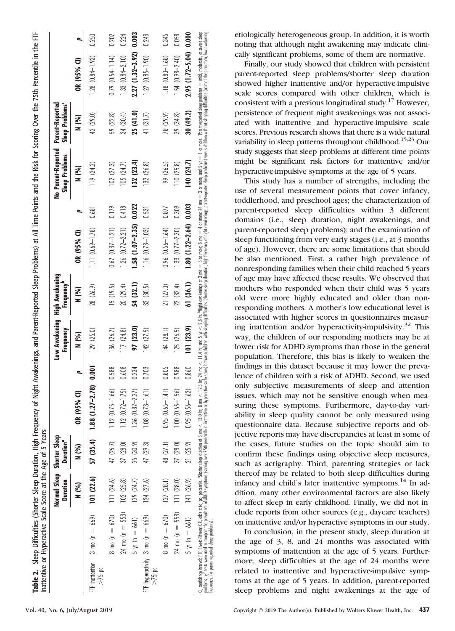|          |                                              | Duration  | Normal Sleep Shorter Sleep<br><b>Duration</b> <sup>a</sup> |                                  |       | Low Awakening High Awakening<br>Frequency | Frequency" |                           |       | No Parent-Reported Parent-Reported<br><b>Sleep Problems</b> | Sleep Problems <sup>c</sup> |                          |       |
|----------|----------------------------------------------|-----------|------------------------------------------------------------|----------------------------------|-------|-------------------------------------------|------------|---------------------------|-------|-------------------------------------------------------------|-----------------------------|--------------------------|-------|
|          |                                              | N (%)     | N (%)                                                      | OR (95% )                        |       | N (%)                                     | N (%)      | OR (95% CI)               |       | N (%)                                                       | N (%)                       | OR (95% CI)              | Þ,    |
| $>15$ pc | FTF inattention 3 mo (n = $669$ )            | 101(22.6) |                                                            | 57 (35.4) 1.88 (1.27-2.78) 0.001 |       | 129(25.0)                                 | 28 (26.9)  | $1.11(0.69 - 1.78)$       | 0.681 | 119(24.2)                                                   | 42 (29.0)                   | $1.28(0.84 - 1.93)$      | 0.250 |
|          | $8 \text{ mo} (n = 670)$                     | 111(24.6) | 47 (26.7)                                                  | $1.12 (0.75 - 1.66)$             | 0.588 | 136 (26.7)                                | 15 (19.5)  | $0.67$ $(0.37 - 1.21)$    | 0.179 | 102(27.3)                                                   | 59 (22.8)                   | $0.79(0.54 - 1.14)$      | 0.202 |
|          | $24 \text{ mo } (\text{n} = 553)$            | 102(25.8) | 37 (28.0)                                                  | $1.12(0.72 - 1.75)$              | 0.608 | 117 (24.8)                                | 20 (29.4)  | $1.26$ $(0.72 - 2.21)$    | 0.418 | 105(24.7)                                                   | 34 (30.4)                   | $1.33(0.84 - 2.10)$      | 0.224 |
|          | $5 yr (n = 661)$                             | 129(24.7) | 25 (30.9)                                                  | $1.36(0.82 - 2.27)$              | 0.234 | 97 (23.0)                                 | 54 (32.1)  | $1.58(1.07 - 2.35)$       | 0.022 | 132(23.4)                                                   | 25 (41.0)                   | 2.27 (1.32-3.92)         | 0.003 |
| $>75$ pc | FIF hyperactivity 3 mo (n = 669)             | 124(27.6) | 47 (29.3)                                                  | $1.08$ $(0.73 - 1.61)$           | 0.703 | 142(27.5)                                 | 32 (30.5)  | $1.16(0.73 - 1.03)$       | 0.531 | 132 (26.8)                                                  | 41 (31.7)                   | $1.27(0.85 - 1.90)$      | 0.243 |
|          | $8 \text{ mo} (n = 670)$                     | 127(28.1) | 48 (27.1)                                                  | $0.95(0.65 - 1.41)$              | 0.805 | 144(28.1)                                 | 21 (27.3)  | $0.96(0.56 - 1.64)$       | 0.877 | 99 (26.5)                                                   | 78 (29.9)                   | $1.18(0.83 - 1.68)$      | 0.345 |
|          | $24 \text{ mo } (\text{n} = 553)$ 111 (28.0) |           | 37 (28.0)                                                  | $1.00 (0.65 - 1.56)$             | 0.988 | 125 (26.5)                                | 22 (32.4)  | $1.33 (0.77 - 2.30)$      | 0.309 | 110(25.8)                                                   | 39 (34.8)                   | $1.54(0.98 - 2.40)$      | 0.058 |
|          | $5 \text{ yr}$ (n = 661) 141 (26.9)          |           | 21 (25.9)                                                  | $0.95(0.56 - 1.62)$              | 0.860 | 101 (23.9)                                | 61 (36.1)  | $1.80(1.22 - 2.64)$ 0.003 |       | 40 (24.7)                                                   | 30 (49.2)                   | $2.95(1.72 - 5.04)0.000$ |       |

etiologically heterogeneous group. In addition, it is worth noting that although night awakening may indicate clinically significant problems, some of them are normative.

Finally, our study showed that children with persistent parent-reported sleep problems/shorter sleep duration showed higher inattentive and/or hyperactive-impulsive scale scores compared with other children, which is consistent with a previous longitudinal study.17 However, persistence of frequent night awakenings was not associated with inattentive and hyperactive-impulsive scale scores. Previous research shows that there is a wide natural variability in sleep patterns throughout childhood.<sup>15,23</sup> Our study suggests that sleep problems at different time points might be significant risk factors for inattentive and/or hyperactive-impulsive symptoms at the age of 5 years.

This study has a number of strengths, including the use of several measurement points that cover infancy, toddlerhood, and preschool ages; the characterization of parent-reported sleep difficulties within 3 different domains (i.e., sleep duration, night awakenings, and parent-reported sleep problems); and the examination of sleep functioning from very early stages (i.e., at 3 months of age). However, there are some limitations that should be also mentioned. First, a rather high prevalence of nonresponding families when their child reached 5 years of age may have affected these results. We observed that mothers who responded when their child was 5 years old were more highly educated and older than nonresponding mothers. A mother's low educational level is associated with higher scores in questionnaires measuring inattention and/or hyperactivity-impulsivity.<sup>32</sup> This way, the children of our responding mothers may be at lower risk for ADHD symptoms than those in the general population. Therefore, this bias is likely to weaken the findings in this dataset because it may lower the prevalence of children with a risk of ADHD. Second, we used only subjective measurements of sleep and attention issues, which may not be sensitive enough when measuring these symptoms. Furthermore, day-to-day variability in sleep quality cannot be only measured using questionnaire data. Because subjective reports and objective reports may have discrepancies at least in some of the cases, future studies on the topic should aim to confirm these findings using objective sleep measures, such as actigraphy. Third, parenting strategies or lack thereof may be related to both sleep difficulties during infancy and child's later inattentive symptoms.<sup>14</sup> In addition, many other environmental factors are also likely to affect sleep in early childhood. Finally, we did not include reports from other sources (e.g., daycare teachers) on inattentive and/or hyperactive symptoms in our study.

In conclusion, in the present study, sleep duration at the age of 3, 8, and 24 months was associated with symptoms of inattention at the age of 5 years. Furthermore, sleep difficulties at the age of 24 months were related to inattentive and hyperactive-impulsive symptoms at the age of 5 years. In addition, parent-reported sleep problems and night awakenings at the age of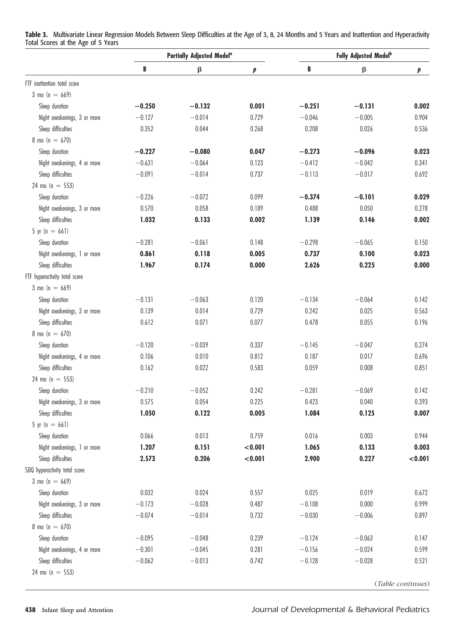Table 3. Multivariate Linear Regression Models Between Sleep Difficulties at the Age of 3, 8, 24 Months and 5 Years and Inattention and Hyperactivity Total Scores at the Age of 5 Years

|                               |          | Partially Adjusted Model <sup>a</sup> |         |          | <b>Fully Adjusted Model</b> b |                   |
|-------------------------------|----------|---------------------------------------|---------|----------|-------------------------------|-------------------|
|                               | B        | β                                     | p       | B        | $\boldsymbol{\beta}$          | p                 |
| FTF inattention total score   |          |                                       |         |          |                               |                   |
| $3 \text{ mo } (n = 669)$     |          |                                       |         |          |                               |                   |
| Sleep duration                | $-0.250$ | $-0.132$                              | 0.001   | $-0.251$ | $-0.131$                      | 0.002             |
| Night awakenings, 3 or more   | $-0.127$ | $-0.014$                              | 0.729   | $-0.046$ | $-0.005$                      | 0.904             |
| Sleep difficulties            | 0.352    | 0.044                                 | 0.268   | 0.208    | 0.026                         | 0.536             |
| $8 \text{ mo } (n = 670)$     |          |                                       |         |          |                               |                   |
| Sleep duration                | $-0.227$ | $-0.080$                              | 0.047   | $-0.273$ | $-0.096$                      | 0.023             |
| Night awakenings, 4 or more   | $-0.631$ | $-0.064$                              | 0.123   | $-0.412$ | $-0.042$                      | 0.341             |
| Sleep difficulties            | $-0.091$ | $-0.014$                              | 0.737   | $-0.113$ | $-0.017$                      | 0.692             |
| 24 mo ( $n = 553$ )           |          |                                       |         |          |                               |                   |
| Sleep duration                | $-0.226$ | $-0.072$                              | 0.099   | $-0.374$ | $-0.101$                      | 0.029             |
| Night awakenings, 3 or more   | 0.570    | 0.058                                 | 0.189   | 0.488    | 0.050                         | 0.278             |
| Sleep difficulties            | 1.032    | 0.133                                 | 0.002   | 1.139    | 0.146                         | 0.002             |
| 5 yr $(n = 661)$              |          |                                       |         |          |                               |                   |
| Sleep duration                | $-0.281$ | $-0.061$                              | 0.148   | $-0.298$ | $-0.065$                      | 0.150             |
| Night awakenings, 1 or more   | 0.861    | 0.118                                 | 0.005   | 0.737    | 0.100                         | 0.023             |
| Sleep difficulties            | 1.967    | 0.174                                 | 0.000   | 2.626    | 0.225                         | 0.000             |
| FTF hyperactivity total score |          |                                       |         |          |                               |                   |
| $3 \text{ mo } (n = 669)$     |          |                                       |         |          |                               |                   |
| Sleep duration                | $-0.131$ | $-0.063$                              | 0.120   | $-0.134$ | $-0.064$                      | 0.142             |
| Night awakenings, 3 or more   | 0.139    | 0.014                                 | 0.729   | 0.242    | 0.025                         | 0.563             |
| Sleep difficulties            | 0.612    | 0.071                                 | 0.077   | 0.478    | 0.055                         | 0.196             |
| $8 \text{ mo } (n = 670)$     |          |                                       |         |          |                               |                   |
| Sleep duration                | $-0.120$ | $-0.039$                              | 0.337   | $-0.145$ | $-0.047$                      | 0.274             |
| Night awakenings, 4 or more   | 0.106    | 0.010                                 | 0.812   | 0.187    | 0.017                         | 0.696             |
| Sleep difficulties            | 0.162    | 0.022                                 | 0.583   | 0.059    | 0.008                         | 0.851             |
| 24 mo ( $n = 553$ )           |          |                                       |         |          |                               |                   |
| Sleep duration                | $-0.210$ | $-0.052$                              | 0.242   | $-0.281$ | $-0.069$                      | 0.142             |
| Night awakenings, 3 or more   | 0.575    | 0.054                                 | 0.225   | 0.423    | 0.040                         | 0.393             |
| Sleep difficulties            | 1.050    | 0.122                                 | 0.005   | 1.084    | 0.125                         | 0.007             |
| 5 yr $(n = 661)$              |          |                                       |         |          |                               |                   |
| Sleep duration                | 0.066    | 0.013                                 | 0.759   | 0.016    | 0.003                         | 0.944             |
| Night awakenings, 1 or more   | 1.207    | 0.151                                 | < 0.001 | 1.065    | 0.133                         | 0.003             |
| Sleep difficulties            | 2.573    | 0.206                                 | < 0.001 | 2.900    | 0.227                         | < 0.001           |
| SDQ hyperactivity total score |          |                                       |         |          |                               |                   |
| $3 \text{ mo } (n = 669)$     |          |                                       |         |          |                               |                   |
| Sleep duration                | 0.032    | 0.024                                 | 0.557   | 0.025    | 0.019                         | 0.672             |
| Night awakenings, 3 or more   | $-0.173$ | $-0.028$                              | 0.487   | $-0.108$ | 0.000                         | 0.999             |
| Sleep difficulties            | $-0.074$ | $-0.014$                              | 0.732   | $-0.030$ | $-0.006$                      | 0.897             |
| $8 \text{ mo } (n = 670)$     |          |                                       |         |          |                               |                   |
| Sleep duration                | $-0.095$ | $-0.048$                              | 0.239   | $-0.124$ | $-0.063$                      | 0.147             |
| Night awakenings, 4 or more   | $-0.301$ | $-0.045$                              | 0.281   | $-0.156$ | $-0.024$                      | 0.599             |
| Sleep difficulties            | $-0.062$ | $-0.013$                              | 0.742   | $-0.128$ | $-0.028$                      | 0.521             |
| $24 \text{ mo} (n = 553)$     |          |                                       |         |          |                               | (Table continues) |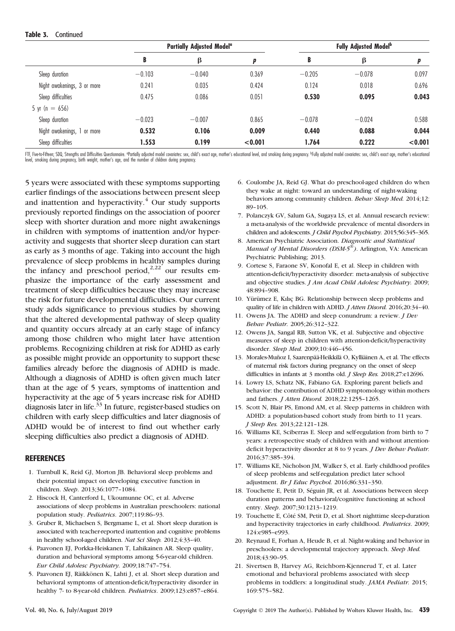#### Table 3. Continued

|                             | <b>Partially Adjusted Modela</b> |          |         | <b>Fully Adjusted Modelb</b> |          |         |
|-----------------------------|----------------------------------|----------|---------|------------------------------|----------|---------|
|                             | B                                | β        | р       | B                            | β        |         |
| Sleep duration              | $-0.103$                         | $-0.040$ | 0.369   | $-0.205$                     | $-0.078$ | 0.097   |
| Night awakenings, 3 or more | 0.241                            | 0.035    | 0.424   | 0.124                        | 0.018    | 0.696   |
| Sleep difficulties          | 0.475                            | 0.086    | 0.051   | 0.530                        | 0.095    | 0.043   |
| 5 yr (n $= 656$ )           |                                  |          |         |                              |          |         |
| Sleep duration              | $-0.023$                         | $-0.007$ | 0.865   | $-0.078$                     | $-0.024$ | 0.588   |
| Night awakenings, 1 or more | 0.532                            | 0.106    | 0.009   | 0.440                        | 0.088    | 0.044   |
| Sleep difficulties          | 1.553                            | 0.199    | < 0.001 | 1.764                        | 0.222    | < 0.001 |

FTF, Fiveto-Fifteen; SDQ, Strengths and Difficulties Questionnaire. ®Patially adjusted model covariates: sex, child's exact age, mother's educational level, and smoking during pregnancy. <sup>b</sup>Fully adjusted model covariates:

5 years were associated with these symptoms supporting earlier findings of the associations between present sleep and inattention and hyperactivity. $4$  Our study supports previously reported findings on the association of poorer sleep with shorter duration and more night awakenings in children with symptoms of inattention and/or hyperactivity and suggests that shorter sleep duration can start as early as 3 months of age. Taking into account the high prevalence of sleep problems in healthy samples during the infancy and preschool period, $2,22$  our results emphasize the importance of the early assessment and treatment of sleep difficulties because they may increase the risk for future developmental difficulties. Our current study adds significance to previous studies by showing that the altered developmental pathway of sleep quality and quantity occurs already at an early stage of infancy among those children who might later have attention problems. Recognizing children at risk for ADHD as early as possible might provide an opportunity to support these families already before the diagnosis of ADHD is made. Although a diagnosis of ADHD is often given much later than at the age of 5 years, symptoms of inattention and hyperactivity at the age of 5 years increase risk for ADHD diagnosis later in life.<sup>33</sup> In future, register-based studies on children with early sleep difficulties and later diagnosis of ADHD would be of interest to find out whether early sleeping difficulties also predict a diagnosis of ADHD.

#### **REFERENCES**

- 1. Turnbull K, Reid GJ, Morton JB. Behavioral sleep problems and their potential impact on developing executive function in children. Sleep. 2013;36:1077–1084.
- 2. Hiscock H, Canterford L, Ukoumunne OC, et al. Adverse associations of sleep problems in Australian preschoolers: national population study. Pediatrics. 2007;119:86–93.
- 3. Gruber R, Michaelsen S, Bergmame L, et al. Short sleep duration is associated with teacher-reported inattention and cognitive problems in healthy school-aged children. Nat Sci Sleep. 2012;4:33–40.
- 4. Paavonen EJ, Porkka-Heiskanen T, Lahikainen AR. Sleep quality, duration and behavioral symptoms among 5-6-year-old children. Eur Child Adolesc Psychiatry. 2009;18:747–754.
- 5. Paavonen EJ, Räikkönen K, Lahti J, et al. Short sleep duration and behavioral symptoms of attention-deficit/hyperactivity disorder in healthy 7- to 8-year-old children. Pediatrics. 2009;123:e857–e864.
- 6. Coulombe JA, Reid GJ. What do preschool-aged children do when they wake at night: toward an understanding of night-waking behaviors among community children. Behav Sleep Med. 2014;12: 89–105.
- 7. Polanczyk GV, Salum GA, Sugaya LS, et al. Annual research review: a meta-analysis of the worldwide prevalence of mental disorders in children and adolescents. J Child Psychol Psychiatry. 2015;56:345–365.
- 8. American Psychiatric Association. Diagnostic and Statistical Manual of Mental Disorders (DSM- $5^{\circ\circ}$ ). Arlington, VA: American Psychiatric Publishing; 2013.
- 9. Cortese S, Faraone SV, Konofal E, et al. Sleep in children with attention-deficit/hyperactivity disorder: meta-analysis of subjective and objective studies. *J Am Acad Child Adolesc Psychiatry*. 2009; 48:894–908.
- 10. Yürümez E, Kılıç BG. Relationship between sleep problems and quality of life in children with ADHD. J Atten Disord. 2016;20:34–40.
- 11. Owens JA. The ADHD and sleep conundrum: a review. J Dev Behav Pediatr. 2005;26:312–322.
- 12. Owens JA, Sangal RB, Sutton VK, et al. Subjective and objective measures of sleep in children with attention-deficit/hyperactivity disorder. Sleep Med. 2009;10:446-456.
- 13. Morales-Muñoz I, Saarenpää-Heikkilä O, Kylliäinen A, et al. The effects of maternal risk factors during pregnancy on the onset of sleep difficulties in infants at 3 months old. J Sleep Res. 2018;27:e12696.
- 14. Lowry LS, Schatz NK, Fabiano GA. Exploring parent beliefs and behavior: the contribution of ADHD symptomology within mothers and fathers. J Atten Disord. 2018;22:1255–1265.
- 15. Scott N, Blair PS, Emond AM, et al. Sleep patterns in children with ADHD: a population-based cohort study from birth to 11 years. J Sleep Res. 2013;22:121–128.
- 16. Williams KE, Sciberras E. Sleep and self-regulation from birth to 7 years: a retrospective study of children with and without attentiondeficit hyperactivity disorder at 8 to 9 years. J Dev Behav Pediatr. 2016;37:385–394.
- 17. Williams KE, Nicholson JM, Walker S, et al. Early childhood profiles of sleep problems and self-regulation predict later school adjustment. Br J Educ Psychol. 2016;86:331–350.
- 18. Touchette E, Petit D, Séguin JR, et al. Associations between sleep duration patterns and behavioral/cognitive functioning at school entry. Sleep. 2007;30:1213–1219.
- 19. Touchette E, Côté SM, Petit D, et al. Short nighttime sleep-duration and hyperactivity trajectories in early childhood. Pediatrics. 2009; 124:e985–e993.
- 20. Reynaud E, Forhan A, Heude B, et al. Night-waking and behavior in preschoolers: a developmental trajectory approach. Sleep Med. 2018;43:90–95.
- 21. Sivertsen B, Harvey AG, Reichborn-Kjennerud T, et al. Later emotional and behavioral problems associated with sleep problems in toddlers: a longitudinal study. JAMA Pediatr. 2015; 169:575–582.